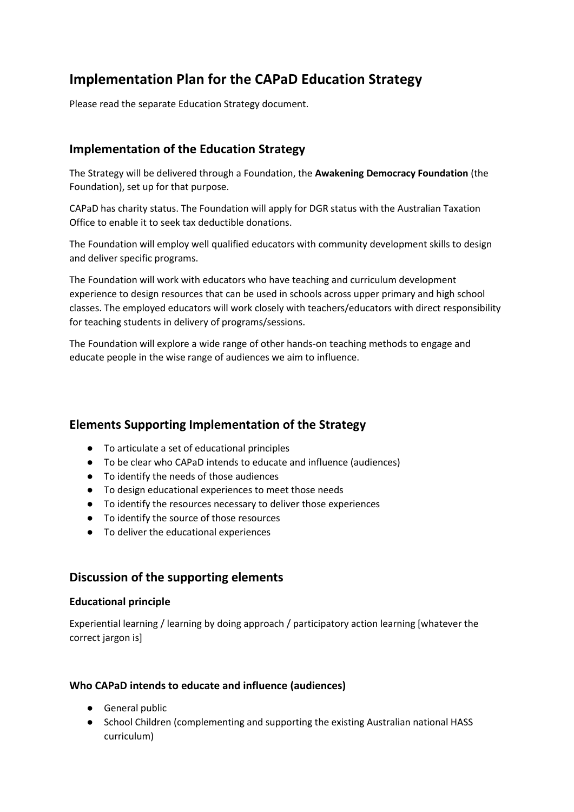# **Implementation Plan for the CAPaD Education Strategy**

Please read the separate Education Strategy document.

## **Implementation of the Education Strategy**

The Strategy will be delivered through a Foundation, the **Awakening Democracy Foundation** (the Foundation), set up for that purpose.

CAPaD has charity status. The Foundation will apply for DGR status with the Australian Taxation Office to enable it to seek tax deductible donations.

The Foundation will employ well qualified educators with community development skills to design and deliver specific programs.

The Foundation will work with educators who have teaching and curriculum development experience to design resources that can be used in schools across upper primary and high school classes. The employed educators will work closely with teachers/educators with direct responsibility for teaching students in delivery of programs/sessions.

The Foundation will explore a wide range of other hands-on teaching methods to engage and educate people in the wise range of audiences we aim to influence.

## **Elements Supporting Implementation of the Strategy**

- To articulate a set of educational principles
- To be clear who CAPaD intends to educate and influence (audiences)
- To identify the needs of those audiences
- To design educational experiences to meet those needs
- To identify the resources necessary to deliver those experiences
- To identify the source of those resources
- To deliver the educational experiences

## **Discussion of the supporting elements**

## **Educational principle**

Experiential learning / learning by doing approach / participatory action learning [whatever the correct jargon is]

## **Who CAPaD intends to educate and influence (audiences)**

- General public
- School Children (complementing and supporting the existing Australian national HASS curriculum)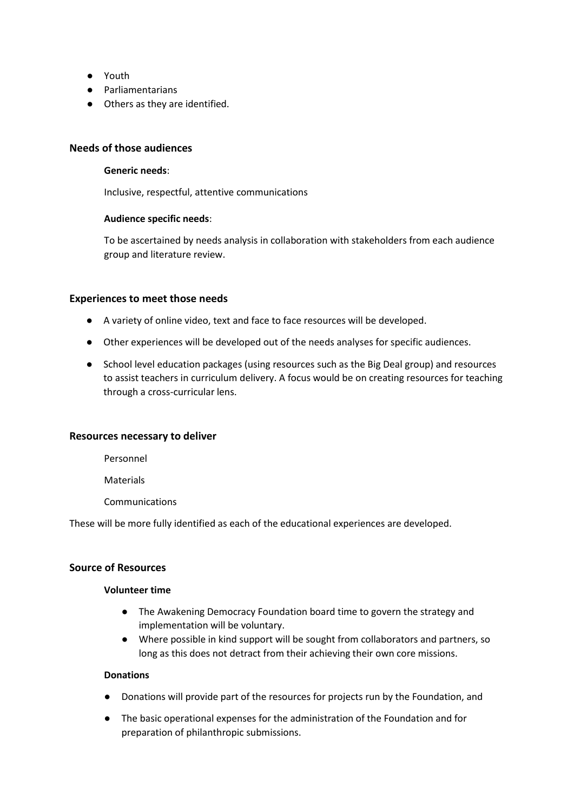- Youth
- Parliamentarians
- Others as they are identified.

### **Needs of those audiences**

#### **Generic needs**:

Inclusive, respectful, attentive communications

### **Audience specific needs**:

To be ascertained by needs analysis in collaboration with stakeholders from each audience group and literature review.

#### **Experiences to meet those needs**

- A variety of online video, text and face to face resources will be developed.
- Other experiences will be developed out of the needs analyses for specific audiences.
- School level education packages (using resources such as the Big Deal group) and resources to assist teachers in curriculum delivery. A focus would be on creating resources for teaching through a cross-curricular lens.

### **Resources necessary to deliver**

Personnel

Materials

Communications

These will be more fully identified as each of the educational experiences are developed.

## **Source of Resources**

#### **Volunteer time**

- The Awakening Democracy Foundation board time to govern the strategy and implementation will be voluntary.
- Where possible in kind support will be sought from collaborators and partners, so long as this does not detract from their achieving their own core missions.

#### **Donations**

- Donations will provide part of the resources for projects run by the Foundation, and
- The basic operational expenses for the administration of the Foundation and for preparation of philanthropic submissions.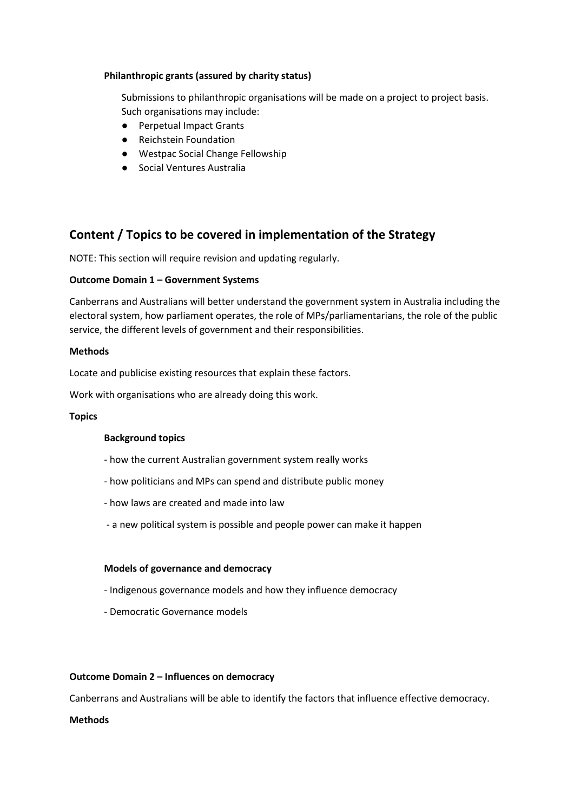### **Philanthropic grants (assured by charity status)**

Submissions to philanthropic organisations will be made on a project to project basis. Such organisations may include:

- Perpetual Impact Grants
- Reichstein Foundation
- Westpac Social Change Fellowship
- Social Ventures Australia

## **Content / Topics to be covered in implementation of the Strategy**

NOTE: This section will require revision and updating regularly.

### **Outcome Domain 1 – Government Systems**

Canberrans and Australians will better understand the government system in Australia including the electoral system, how parliament operates, the role of MPs/parliamentarians, the role of the public service, the different levels of government and their responsibilities.

### **Methods**

Locate and publicise existing resources that explain these factors.

Work with organisations who are already doing this work.

### **Topics**

### **Background topics**

- how the current Australian government system really works
- how politicians and MPs can spend and distribute public money
- how laws are created and made into law
- a new political system is possible and people power can make it happen

### **Models of governance and democracy**

- Indigenous governance models and how they influence democracy
- Democratic Governance models

### **Outcome Domain 2 – Influences on democracy**

Canberrans and Australians will be able to identify the factors that influence effective democracy.

### **Methods**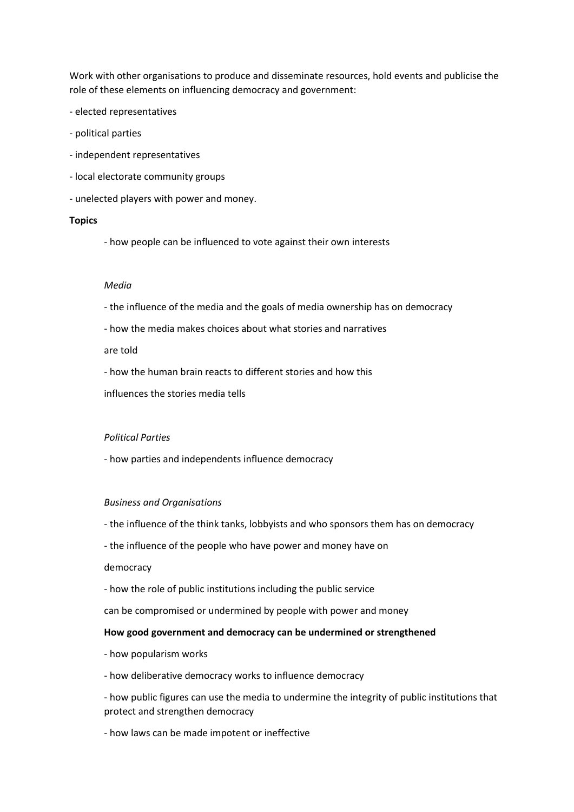Work with other organisations to produce and disseminate resources, hold events and publicise the role of these elements on influencing democracy and government:

- elected representatives
- political parties
- independent representatives
- local electorate community groups
- unelected players with power and money.

#### **Topics**

- how people can be influenced to vote against their own interests

#### *Media*

- the influence of the media and the goals of media ownership has on democracy
- how the media makes choices about what stories and narratives

are told

- how the human brain reacts to different stories and how this

influences the stories media tells

#### *Political Parties*

- how parties and independents influence democracy

#### *Business and Organisations*

- the influence of the think tanks, lobbyists and who sponsors them has on democracy
- the influence of the people who have power and money have on

#### democracy

- how the role of public institutions including the public service

can be compromised or undermined by people with power and money

#### **How good government and democracy can be undermined or strengthened**

- how popularism works
- how deliberative democracy works to influence democracy

- how public figures can use the media to undermine the integrity of public institutions that protect and strengthen democracy

- how laws can be made impotent or ineffective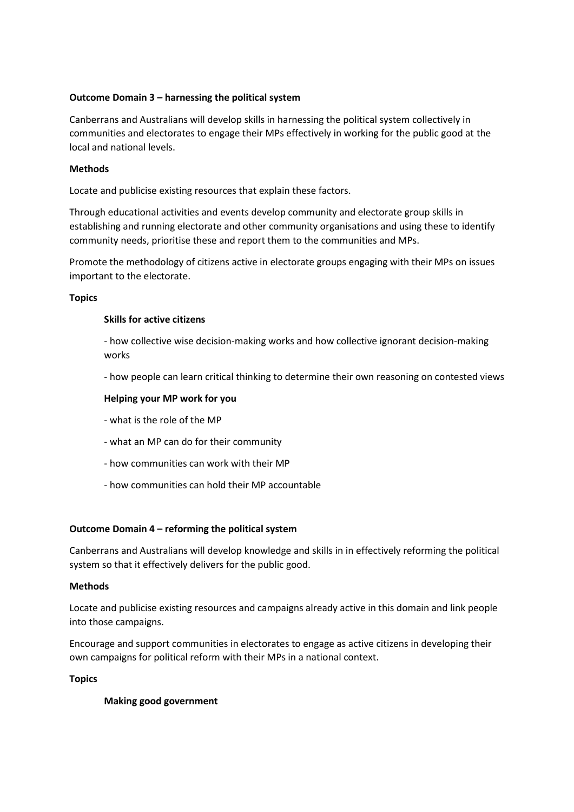## **Outcome Domain 3 – harnessing the political system**

Canberrans and Australians will develop skills in harnessing the political system collectively in communities and electorates to engage their MPs effectively in working for the public good at the local and national levels.

### **Methods**

Locate and publicise existing resources that explain these factors.

Through educational activities and events develop community and electorate group skills in establishing and running electorate and other community organisations and using these to identify community needs, prioritise these and report them to the communities and MPs.

Promote the methodology of citizens active in electorate groups engaging with their MPs on issues important to the electorate.

#### **Topics**

#### **Skills for active citizens**

- how collective wise decision-making works and how collective ignorant decision-making works

- how people can learn critical thinking to determine their own reasoning on contested views

#### **Helping your MP work for you**

- what is the role of the MP
- what an MP can do for their community
- how communities can work with their MP
- how communities can hold their MP accountable

### **Outcome Domain 4 – reforming the political system**

Canberrans and Australians will develop knowledge and skills in in effectively reforming the political system so that it effectively delivers for the public good.

#### **Methods**

Locate and publicise existing resources and campaigns already active in this domain and link people into those campaigns.

Encourage and support communities in electorates to engage as active citizens in developing their own campaigns for political reform with their MPs in a national context.

#### **Topics**

#### **Making good government**